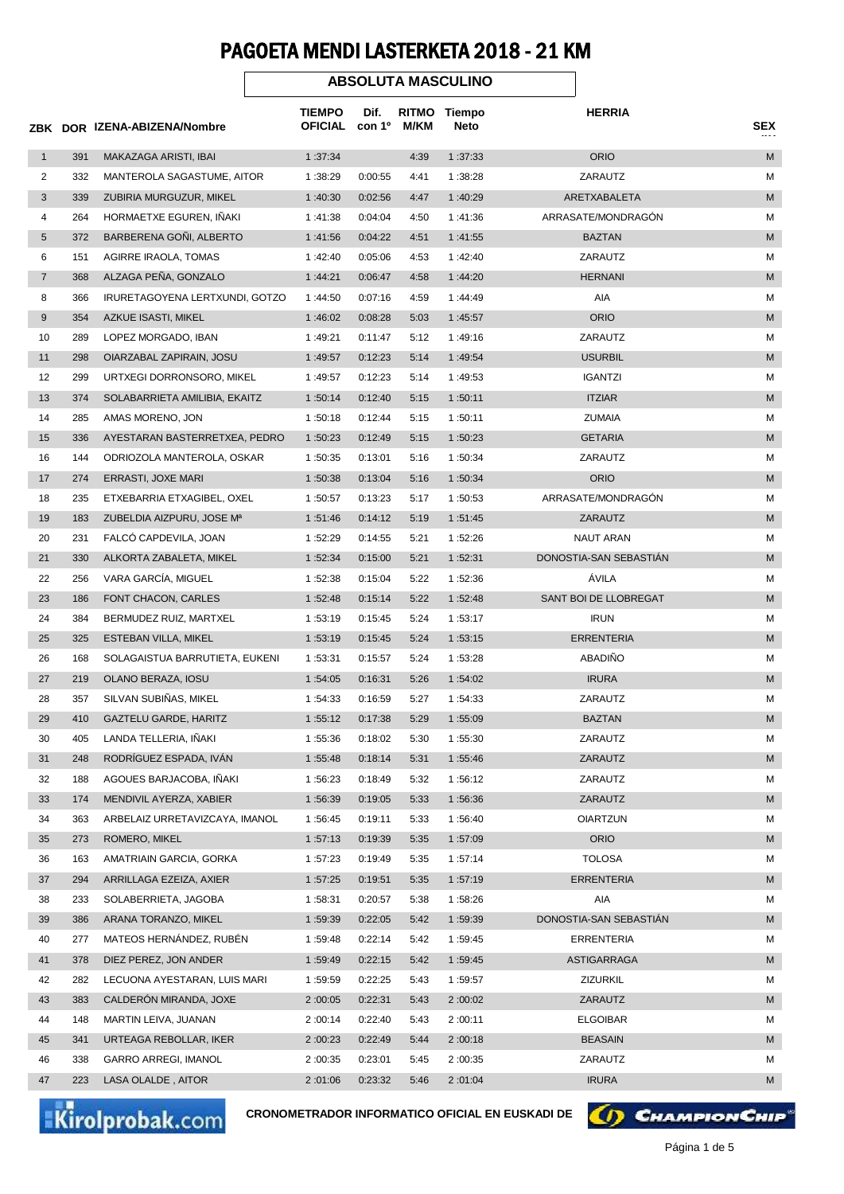## PAGOETA MENDI LASTERKETA 2018 - 21 KM

|                |     | ZBK DOR IZENA-ABIZENA/Nombre   |                          |                            |                      | <b>ABSOLUTA MASCULINO</b> |                        | <b>SEX</b> |
|----------------|-----|--------------------------------|--------------------------|----------------------------|----------------------|---------------------------|------------------------|------------|
|                |     |                                | TIEMPO<br><b>OFICIAL</b> | Dif.<br>con 1 <sup>o</sup> | <b>RITMO</b><br>M/KM | Tiempo<br>Neto            | <b>HERRIA</b>          |            |
| $\mathbf{1}$   | 391 | MAKAZAGA ARISTI, IBAI          | 1:37:34                  |                            | 4:39                 | 1:37:33                   | <b>ORIO</b>            | M          |
| 2              | 332 | MANTEROLA SAGASTUME, AITOR     | 1:38:29                  | 0:00:55                    | 4:41                 | 1:38:28                   | ZARAUTZ                | М          |
| 3              | 339 | ZUBIRIA MURGUZUR, MIKEL        | 1:40:30                  | 0:02:56                    | 4:47                 | 1:40:29                   | ARETXABALETA           | M          |
| 4              | 264 | HORMAETXE EGUREN, INAKI        | 1:41:38                  | 0:04:04                    | 4:50                 | 1:41:36                   | ARRASATE/MONDRAGÓN     | М          |
| 5              | 372 | BARBERENA GONI, ALBERTO        | 1:41:56                  | 0:04:22                    | 4:51                 | 1:41:55                   | <b>BAZTAN</b>          | M          |
| 6              | 151 | AGIRRE IRAOLA, TOMAS           | 1:42:40                  | 0:05:06                    | 4:53                 | 1:42:40                   | ZARAUTZ                | м          |
| $\overline{7}$ | 368 | ALZAGA PENA, GONZALO           | 1:44:21                  | 0:06:47                    | 4:58                 | 1:44:20                   | <b>HERNANI</b>         | M          |
| 8              | 366 | IRURETAGOYENA LERTXUNDI, GOTZO | 1:44:50                  | 0:07:16                    | 4:59                 | 1:44:49                   | AIA                    | М          |
| 9              | 354 | AZKUE ISASTI, MIKEL            | 1:46:02                  | 0:08:28                    | 5:03                 | 1:45:57                   | <b>ORIO</b>            | M          |
| 10             | 289 | LOPEZ MORGADO, IBAN            | 1:49:21                  | 0:11:47                    | 5:12                 | 1:49:16                   | ZARAUTZ                | М          |
| 11             | 298 | OIARZABAL ZAPIRAIN, JOSU       | 1:49:57                  | 0:12:23                    | 5:14                 | 1:49:54                   | <b>USURBIL</b>         | M          |
| 12             | 299 | URTXEGI DORRONSORO, MIKEL      | 1:49:57                  | 0:12:23                    | 5:14                 | 1:49:53                   | <b>IGANTZI</b>         | М          |
| 13             | 374 | SOLABARRIETA AMILIBIA, EKAITZ  | 1:50:14                  | 0:12:40                    | 5:15                 | 1:50:11                   | <b>ITZIAR</b>          | M          |
| 14             | 285 | AMAS MORENO, JON               | 1:50:18                  | 0:12:44                    | 5:15                 | 1:50:11                   | <b>ZUMAIA</b>          | М          |
| 15             | 336 | AYESTARAN BASTERRETXEA, PEDRO  | 1:50:23                  | 0:12:49                    | 5:15                 | 1:50:23                   | <b>GETARIA</b>         | M          |
| 16             | 144 | ODRIOZOLA MANTEROLA, OSKAR     | 1:50:35                  | 0:13:01                    | 5:16                 | 1:50:34                   | ZARAUTZ                | M          |
| 17             | 274 | ERRASTI, JOXE MARI             | 1:50:38                  | 0:13:04                    | 5:16                 | 1:50:34                   | <b>ORIO</b>            | M          |
| 18             | 235 | ETXEBARRIA ETXAGIBEL, OXEL     | 1:50:57                  | 0:13:23                    | 5:17                 | 1:50:53                   | ARRASATE/MONDRAGON     | М          |
| 19             | 183 | ZUBELDIA AIZPURU, JOSE Mª      | 1:51:46                  | 0:14:12                    | 5:19                 | 1:51:45                   | ZARAUTZ                | M          |
| 20             | 231 | FALCO CAPDEVILA, JOAN          | 1:52:29                  | 0:14:55                    | 5:21                 | 1:52:26                   | NAUT ARAN              | М          |
| 21             | 330 | ALKORTA ZABALETA, MIKEL        | 1:52:34                  | 0:15:00                    | 5:21                 | 1:52:31                   | DONOSTIA-SAN SEBASTIAN | M          |
| 22             | 256 | VARA GARCÍA, MIGUEL            | 1:52:38                  | 0:15:04                    | 5:22                 | 1:52:36                   | ÁVILA                  | М          |
| 23             | 186 | FONT CHACON, CARLES            | 1:52:48                  | 0:15:14                    | 5:22                 | 1:52:48                   | SANT BOI DE LLOBREGAT  | M          |
| 24             | 384 | BERMUDEZ RUIZ, MARTXEL         | 1:53:19                  | 0:15:45                    | 5:24                 | 1:53:17                   | <b>IRUN</b>            | М          |
| 25             | 325 | ESTEBAN VILLA, MIKEL           | 1:53:19                  | 0:15:45                    | 5:24                 | 1:53:15                   | <b>ERRENTERIA</b>      | M          |
| 26             | 168 | SOLAGAISTUA BARRUTIETA, EUKENI | 1:53:31                  | 0:15:57                    | 5:24                 | 1:53:28                   | ABADIÑO                | M          |
| 27             | 219 | OLANO BERAZA, IOSU             | 1:54:05                  | 0:16:31                    | 5:26                 | 1:54:02                   | <b>IRURA</b>           | M          |
| 28             | 357 | SILVAN SUBIÑAS, MIKEL          | 1:54:33                  | 0:16:59                    | 5:27                 | 1:54:33                   | ZARAUTZ                | M          |
| 29             | 410 | <b>GAZTELU GARDE, HARITZ</b>   | 1:55:12                  | 0:17:38                    | 5:29                 | 1:55:09                   | <b>BAZTAN</b>          | M          |
| 30             | 405 | LANDA TELLERIA, IÑAKI          | 1:55:36                  | 0:18:02                    | 5:30                 | 1:55:30                   | ZARAUTZ                | М          |
| 31             | 248 | RODRÍGUEZ ESPADA, IVÁN         | 1:55:48                  | 0:18:14                    | 5:31                 | 1:55:46                   | ZARAUTZ                | M          |
| 32             | 188 | AGOUES BARJACOBA, IÑAKI        | 1:56:23                  | 0:18:49                    | 5:32                 | 1:56:12                   | ZARAUTZ                | М          |
| 33             | 174 | MENDIVIL AYERZA, XABIER        | 1:56:39                  | 0:19:05                    | 5:33                 | 1:56:36                   | ZARAUTZ                | M          |
| 34             | 363 | ARBELAIZ URRETAVIZCAYA, IMANOL | 1:56:45                  | 0:19:11                    | 5:33                 | 1:56:40                   | OIARTZUN               | м          |
| 35             | 273 | ROMERO, MIKEL                  | 1:57:13                  | 0:19:39                    | 5:35                 | 1:57:09                   | <b>ORIO</b>            | M          |
| 36             | 163 | AMATRIAIN GARCIA, GORKA        | 1:57:23                  | 0:19:49                    | 5:35                 | 1:57:14                   | <b>TOLOSA</b>          | м          |
| 37             | 294 | ARRILLAGA EZEIZA, AXIER        | 1:57:25                  | 0:19:51                    | 5:35                 | 1:57:19                   | <b>ERRENTERIA</b>      | M          |
| 38             | 233 | SOLABERRIETA, JAGOBA           | 1:58:31                  | 0:20:57                    | 5:38                 | 1:58:26                   | AIA                    | м          |
| 39             | 386 | ARANA TORANZO, MIKEL           | 1:59:39                  | 0:22:05                    | 5:42                 | 1:59:39                   | DONOSTIA-SAN SEBASTIAN | M          |
| 40             | 277 | MATEOS HERNÁNDEZ, RUBÉN        | 1:59:48                  | 0:22:14                    | 5:42                 | 1:59:45                   | <b>ERRENTERIA</b>      | М          |
| 41             | 378 | DIEZ PEREZ, JON ANDER          | 1:59:49                  | 0:22:15                    | 5:42                 | 1:59:45                   | ASTIGARRAGA            | M          |
| 42             | 282 | LECUONA AYESTARAN, LUIS MARI   | 1:59:59                  | 0:22:25                    | 5:43                 | 1:59:57                   | ZIZURKIL               | м          |
| 43             | 383 | CALDERON MIRANDA, JOXE         | 2:00:05                  | 0:22:31                    | 5:43                 | 2:00:02                   | ZARAUTZ                | M          |
| 44             | 148 | MARTIN LEIVA, JUANAN           | 2:00:14                  | 0:22:40                    | 5:43                 | 2:00:11                   | <b>ELGOIBAR</b>        | М          |
| 45             | 341 | URTEAGA REBOLLAR, IKER         | 2:00:23                  | 0:22:49                    | 5:44                 | 2:00:18                   | <b>BEASAIN</b>         | M          |
| 46             | 338 | <b>GARRO ARREGI, IMANOL</b>    | 2:00:35                  | 0:23:01                    | 5:45                 | 2:00:35                   | ZARAUTZ                | м          |
| 47             | 223 | LASA OLALDE, AITOR             | 2:01:06                  | 0:23:32                    | 5:46                 | 2:01:04                   | <b>IRURA</b>           | M          |

Kirolprobak.com

**CRONOMETRADOR INFORMATICO OFICIAL EN EUSKADI DE**

(I) CHAMPION CHIP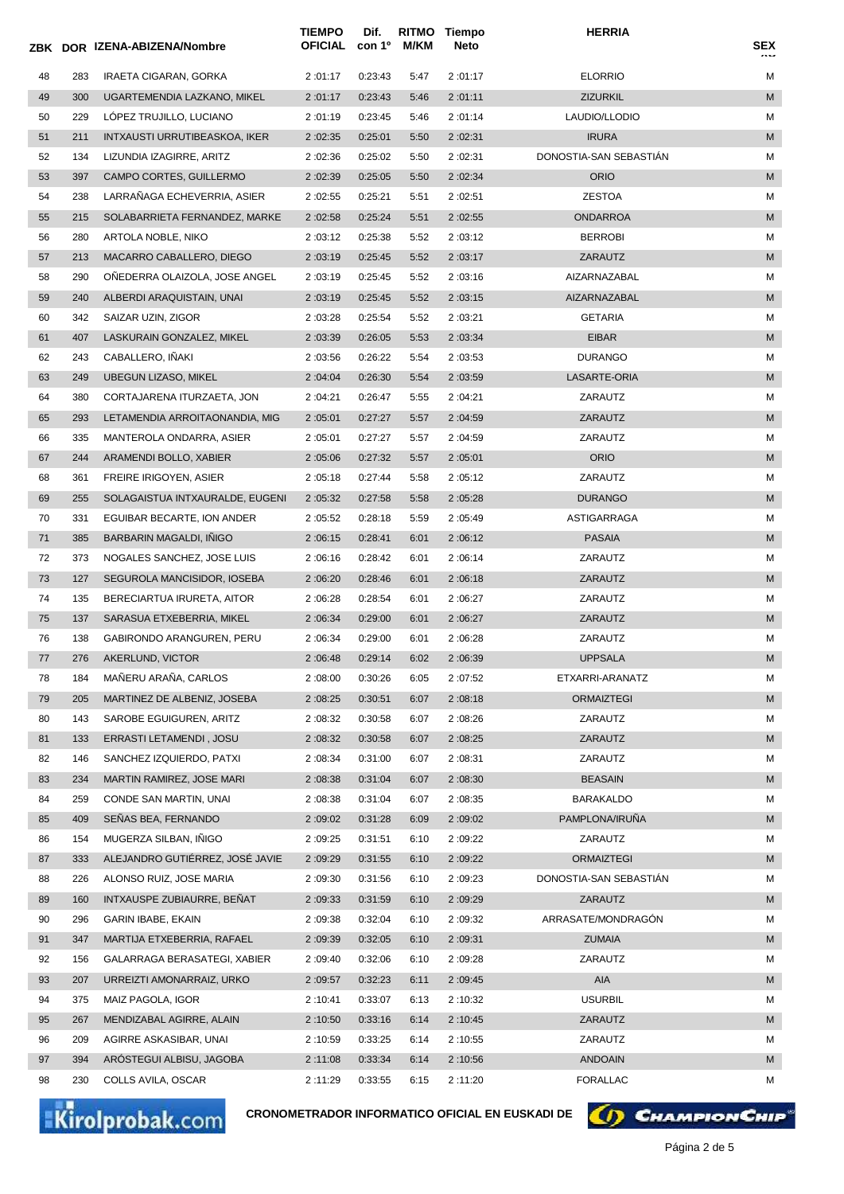|    |     | ZBK DOR IZENA-ABIZENA/Nombre    | <b>TIEMPO</b><br>OFICIAL | Dif.<br>con 1º | M/KM | RITMO Tiempo<br>Neto | <b>HERRIA</b>          | SEX |
|----|-----|---------------------------------|--------------------------|----------------|------|----------------------|------------------------|-----|
| 48 | 283 | IRAETA CIGARAN, GORKA           | 2:01:17                  | 0:23:43        | 5:47 | 2:01:17              | <b>ELORRIO</b>         | М   |
| 49 | 300 | UGARTEMENDIA LAZKANO, MIKEL     | 2:01:17                  | 0:23:43        | 5:46 | 2:01:11              | <b>ZIZURKIL</b>        | M   |
| 50 | 229 | LOPEZ TRUJILLO, LUCIANO         | 2:01:19                  | 0:23:45        | 5:46 | 2:01:14              | LAUDIO/LLODIO          | М   |
| 51 | 211 | INTXAUSTI URRUTIBEASKOA, IKER   | 2:02:35                  | 0:25:01        | 5:50 | 2:02:31              | <b>IRURA</b>           | M   |
| 52 | 134 | LIZUNDIA IZAGIRRE, ARITZ        | 2:02:36                  | 0:25:02        | 5:50 | 2:02:31              | DONOSTIA-SAN SEBASTIÁN | М   |
| 53 | 397 | CAMPO CORTES, GUILLERMO         | 2:02:39                  | 0:25:05        | 5:50 | 2:02:34              | <b>ORIO</b>            | M   |
| 54 | 238 | LARRANAGA ECHEVERRIA, ASIER     | 2:02:55                  | 0:25:21        | 5:51 | 2:02:51              | <b>ZESTOA</b>          | М   |
| 55 | 215 | SOLABARRIETA FERNANDEZ, MARKE   | 2:02:58                  | 0:25:24        | 5:51 | 2:02:55              | ONDARROA               | M   |
| 56 | 280 | ARTOLA NOBLE, NIKO              | 2:03:12                  | 0:25:38        | 5:52 | 2:03:12              | <b>BERROBI</b>         | М   |
| 57 | 213 | MACARRO CABALLERO, DIEGO        | 2:03:19                  | 0:25:45        | 5:52 | 2:03:17              | ZARAUTZ                | M   |
| 58 | 290 | ONEDERRA OLAIZOLA, JOSE ANGEL   | 2:03:19                  | 0:25:45        | 5:52 | 2:03:16              | AIZARNAZABAL           | м   |
| 59 | 240 | ALBERDI ARAQUISTAIN, UNAI       | 2:03:19                  | 0:25:45        | 5:52 | 2:03:15              | AIZARNAZABAL           | M   |
| 60 | 342 | SAIZAR UZIN, ZIGOR              | 2:03:28                  | 0:25:54        | 5:52 | 2:03:21              | <b>GETARIA</b>         | М   |
| 61 | 407 | LASKURAIN GONZALEZ, MIKEL       | 2:03:39                  | 0:26:05        | 5:53 | 2:03:34              | <b>EIBAR</b>           | M   |
| 62 | 243 | CABALLERO, IÑAKI                | 2:03:56                  | 0:26:22        | 5:54 | 2:03:53              | <b>DURANGO</b>         | М   |
| 63 | 249 | <b>UBEGUN LIZASO, MIKEL</b>     | 2:04:04                  | 0:26:30        | 5:54 | 2:03:59              | LASARTE-ORIA           | M   |
| 64 | 380 | CORTAJARENA ITURZAETA, JON      | 2:04:21                  | 0:26:47        | 5:55 | 2:04:21              | ZARAUTZ                | М   |
| 65 | 293 | LETAMENDIA ARROITAONANDIA, MIG  | 2:05:01                  | 0:27:27        | 5:57 | 2:04:59              | ZARAUTZ                | M   |
| 66 | 335 | MANTEROLA ONDARRA, ASIER        | 2:05:01                  | 0:27:27        | 5:57 | 2:04:59              | ZARAUTZ                | М   |
| 67 | 244 | ARAMENDI BOLLO, XABIER          | 2:05:06                  | 0:27:32        | 5:57 | 2:05:01              | <b>ORIO</b>            | M   |
| 68 | 361 | <b>FREIRE IRIGOYEN, ASIER</b>   | 2:05:18                  | 0:27:44        | 5:58 | 2:05:12              | ZARAUTZ                | М   |
| 69 | 255 | SOLAGAISTUA INTXAURALDE, EUGENI | 2:05:32                  | 0:27:58        | 5:58 | 2:05:28              | <b>DURANGO</b>         | M   |
| 70 | 331 | EGUIBAR BECARTE, ION ANDER      | 2:05:52                  | 0:28:18        | 5:59 | 2:05:49              | ASTIGARRAGA            | М   |
| 71 | 385 | <b>BARBARIN MAGALDI, INIGO</b>  | 2:06:15                  | 0:28:41        | 6:01 | 2:06:12              | <b>PASAIA</b>          | M   |
| 72 | 373 | NOGALES SANCHEZ, JOSE LUIS      | 2:06:16                  | 0:28:42        | 6:01 | 2:06:14              | ZARAUTZ                | М   |
| 73 | 127 | SEGUROLA MANCISIDOR, IOSEBA     | 2:06:20                  | 0:28:46        | 6:01 | 2:06:18              | ZARAUTZ                | M   |
| 74 | 135 | BERECIARTUA IRURETA, AITOR      | 2:06:28                  | 0:28:54        | 6:01 | 2:06:27              | ZARAUTZ                | М   |
| 75 | 137 | SARASUA ETXEBERRIA, MIKEL       | 2:06:34                  | 0:29:00        | 6:01 | 2:06:27              | ZARAUTZ                | M   |
| 76 | 138 | GABIRONDO ARANGUREN, PERU       | 2:06:34                  | 0:29:00        | 6:01 | 2:06:28              | ZARAUTZ                | М   |
| 77 | 276 | AKERLUND, VICTOR                | 2:06:48                  | 0:29:14        | 6:02 | 2:06:39              | <b>UPPSALA</b>         | M   |
| 78 | 184 | MAÑERU ARAÑA, CARLOS            | 2:08:00                  | 0:30:26        | 6:05 | 2:07:52              | ETXARRI-ARANATZ        | М   |
| 79 | 205 | MARTINEZ DE ALBENIZ, JOSEBA     | 2:08:25                  | 0:30:51        | 6:07 | 2:08:18              | <b>ORMAIZTEGI</b>      | M   |
| 80 | 143 | SAROBE EGUIGUREN, ARITZ         | 2:08:32                  | 0:30:58        | 6:07 | 2:08:26              | ZARAUTZ                | М   |
| 81 | 133 | ERRASTI LETAMENDI, JOSU         | 2:08:32                  | 0:30:58        | 6:07 | 2:08:25              | ZARAUTZ                | M   |
| 82 | 146 | SANCHEZ IZQUIERDO, PATXI        | 2:08:34                  | 0:31:00        | 6:07 | 2:08:31              | ZARAUTZ                | М   |
| 83 | 234 | MARTIN RAMIREZ, JOSE MARI       | 2:08:38                  | 0:31:04        | 6:07 | 2:08:30              | <b>BEASAIN</b>         | M   |
| 84 | 259 | CONDE SAN MARTIN, UNAI          | 2:08:38                  | 0:31:04        | 6:07 | 2:08:35              | <b>BARAKALDO</b>       | М   |
| 85 | 409 | SENAS BEA, FERNANDO             | 2:09:02                  | 0:31:28        | 6:09 | 2:09:02              | PAMPLONA/IRUÑA         | M   |
| 86 | 154 | MUGERZA SILBAN, INIGO           | 2:09:25                  | 0:31:51        | 6:10 | 2:09:22              | ZARAUTZ                | М   |
| 87 | 333 | ALEJANDRO GUTIÉRREZ, JOSÉ JAVIE | 2:09:29                  | 0:31:55        | 6:10 | 2:09:22              | <b>ORMAIZTEGI</b>      | M   |
| 88 | 226 | ALONSO RUIZ, JOSE MARIA         | 2:09:30                  | 0:31:56        | 6:10 | 2:09:23              | DONOSTIA-SAN SEBASTIÁN | М   |
| 89 | 160 | INTXAUSPE ZUBIAURRE, BENAT      | 2:09:33                  | 0:31:59        | 6:10 | 2:09:29              | ZARAUTZ                | М   |
| 90 | 296 | GARIN IBABE, EKAIN              | 2:09:38                  | 0:32:04        | 6:10 | 2:09:32              | ARRASATE/MONDRAGON     | М   |
| 91 | 347 | MARTIJA ETXEBERRIA, RAFAEL      | 2:09:39                  | 0:32:05        | 6:10 | 2:09:31              | ZUMAIA                 | M   |
| 92 | 156 | GALARRAGA BERASATEGI, XABIER    | 2:09:40                  | 0:32:06        | 6:10 | 2:09:28              | ZARAUTZ                | М   |
| 93 | 207 | URREIZTI AMONARRAIZ, URKO       | 2:09:57                  | 0:32:23        | 6:11 | 2:09:45              | AIA                    | М   |
| 94 | 375 | MAIZ PAGOLA, IGOR               | 2:10:41                  | 0:33:07        | 6:13 | 2:10:32              | <b>USURBIL</b>         | М   |
| 95 | 267 | MENDIZABAL AGIRRE, ALAIN        | 2:10:50                  | 0:33:16        | 6:14 | 2:10:45              | ZARAUTZ                | M   |
| 96 | 209 | AGIRRE ASKASIBAR, UNAI          | 2:10:59                  | 0:33:25        | 6:14 | 2:10:55              | ZARAUTZ                | М   |
| 97 | 394 | AROSTEGUI ALBISU, JAGOBA        | 2:11:08                  | 0:33:34        | 6:14 | 2:10:56              | ANDOAIN                | М   |
| 98 | 230 | COLLS AVILA, OSCAR              | 2:11:29                  | 0:33:55        | 6:15 | 2:11:20              | <b>FORALLAC</b>        | М   |

Kirolprobak.com

**CRONOMETRADOR INFORMATICO OFICIAL EN EUSKADI DE**

**6) CHAMPION CHIP**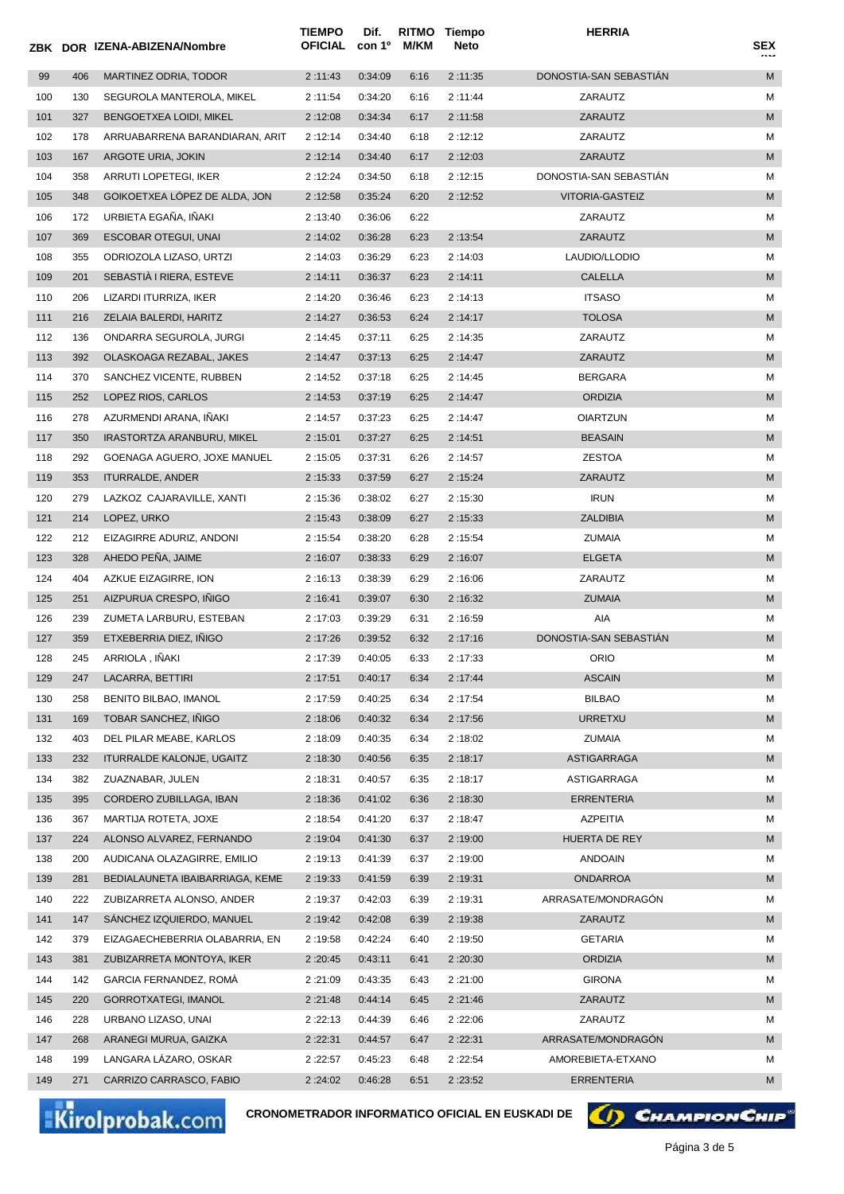|     |     | ZBK DOR IZENA-ABIZENA/Nombre     | <b>TIEMPO</b><br><b>OFICIAL</b> | Dif.<br>con 1º | M/KM | RITMO Tiempo<br>Neto | <b>HERRIA</b>          | SEX |
|-----|-----|----------------------------------|---------------------------------|----------------|------|----------------------|------------------------|-----|
| 99  | 406 | MARTINEZ ODRIA, TODOR            | 2:11:43                         | 0:34:09        | 6:16 | 2:11:35              | DONOSTIA-SAN SEBASTIÁN | M   |
| 100 | 130 | SEGUROLA MANTEROLA, MIKEL        | 2:11:54                         | 0:34:20        | 6:16 | 2:11:44              | ZARAUTZ                | М   |
| 101 | 327 | BENGOETXEA LOIDI, MIKEL          | 2:12:08                         | 0:34:34        | 6:17 | 2:11:58              | ZARAUTZ                | M   |
| 102 | 178 | ARRUABARRENA BARANDIARAN, ARIT   | 2:12:14                         | 0:34:40        | 6:18 | 2:12:12              | ZARAUTZ                | М   |
| 103 | 167 | ARGOTE URIA, JOKIN               | 2:12:14                         | 0:34:40        | 6:17 | 2:12:03              | ZARAUTZ                | M   |
| 104 | 358 | ARRUTI LOPETEGI, IKER            | 2:12:24                         | 0:34:50        | 6:18 | 2:12:15              | DONOSTIA-SAN SEBASTIÁN | М   |
| 105 | 348 | GOIKOETXEA LOPEZ DE ALDA, JON    | 2:12:58                         | 0:35:24        | 6:20 | 2:12:52              | VITORIA-GASTEIZ        | M   |
| 106 | 172 | URBIETA EGAÑA, IÑAKI             | 2:13:40                         | 0:36:06        | 6:22 |                      | ZARAUTZ                | М   |
| 107 | 369 | <b>ESCOBAR OTEGUI, UNAI</b>      | 2:14:02                         | 0:36:28        | 6:23 | 2:13:54              | ZARAUTZ                | M   |
| 108 | 355 | ODRIOZOLA LIZASO, URTZI          | 2:14:03                         | 0:36:29        | 6:23 | 2:14:03              | LAUDIO/LLODIO          | М   |
| 109 | 201 | SEBASTIA I RIERA, ESTEVE         | 2:14:11                         | 0:36:37        | 6:23 | 2:14:11              | <b>CALELLA</b>         | M   |
| 110 | 206 | LIZARDI ITURRIZA, IKER           | 2:14:20                         | 0:36:46        | 6:23 | 2:14:13              | <b>ITSASO</b>          | М   |
| 111 | 216 | ZELAIA BALERDI, HARITZ           | 2:14:27                         | 0:36:53        | 6:24 | 2:14:17              | <b>TOLOSA</b>          | M   |
| 112 | 136 | ONDARRA SEGUROLA, JURGI          | 2:14:45                         | 0:37:11        | 6:25 | 2:14:35              | ZARAUTZ                | М   |
| 113 | 392 | OLASKOAGA REZABAL, JAKES         | 2:14:47                         | 0:37:13        | 6:25 | 2:14:47              | ZARAUTZ                | M   |
| 114 | 370 | SANCHEZ VICENTE, RUBBEN          | 2 :14:52                        | 0:37:18        | 6:25 | 2:14:45              | <b>BERGARA</b>         | М   |
| 115 | 252 | LOPEZ RIOS, CARLOS               | 2:14:53                         | 0:37:19        | 6:25 | 2:14:47              | <b>ORDIZIA</b>         | M   |
| 116 | 278 | AZURMENDI ARANA, INAKI           | 2:14:57                         | 0:37:23        | 6:25 | 2:14:47              | <b>OIARTZUN</b>        | М   |
| 117 | 350 | IRASTORTZA ARANBURU, MIKEL       | 2:15:01                         | 0:37:27        | 6:25 | 2:14:51              | <b>BEASAIN</b>         | M   |
| 118 | 292 | GOENAGA AGUERO, JOXE MANUEL      | 2:15:05                         | 0:37:31        | 6:26 | 2:14:57              | <b>ZESTOA</b>          | М   |
| 119 | 353 | <b>ITURRALDE, ANDER</b>          | 2:15:33                         | 0:37:59        | 6:27 | 2:15:24              | ZARAUTZ                | M   |
| 120 | 279 | LAZKOZ CAJARAVILLE, XANTI        | 2:15:36                         | 0:38:02        | 6:27 | 2:15:30              | <b>IRUN</b>            | М   |
| 121 | 214 | LOPEZ, URKO                      | 2:15:43                         | 0:38:09        | 6:27 | 2:15:33              | <b>ZALDIBIA</b>        | M   |
| 122 | 212 | EIZAGIRRE ADURIZ, ANDONI         | 2:15:54                         | 0:38:20        | 6:28 | 2:15:54              | ZUMAIA                 | М   |
| 123 | 328 | AHEDO PEÑA, JAIME                | 2:16:07                         | 0:38:33        | 6:29 | 2:16:07              | <b>ELGETA</b>          | M   |
| 124 | 404 | AZKUE EIZAGIRRE, ION             | 2:16:13                         | 0:38:39        | 6:29 | 2:16:06              | ZARAUTZ                | М   |
| 125 | 251 | AIZPURUA CRESPO, INIGO           | 2:16:41                         | 0:39:07        | 6:30 | 2:16:32              | <b>ZUMAIA</b>          | M   |
| 126 | 239 | ZUMETA LARBURU, ESTEBAN          | 2:17:03                         | 0:39:29        | 6:31 | 2:16:59              | AIA                    | М   |
| 127 | 359 | ETXEBERRIA DIEZ, INIGO           | 2:17:26                         | 0:39:52        | 6:32 | 2:17:16              | DONOSTIA-SAN SEBASTIAN | M   |
| 128 | 245 | ARRIOLA, IÑAKI                   | 2:17:39                         | 0:40:05        | 6:33 | 2:17:33              | ORIO                   | м   |
| 129 | 247 | LACARRA, BETTIRI                 | 2:17:51                         | 0:40:17        | 6:34 | 2:17:44              | <b>ASCAIN</b>          | M   |
| 130 | 258 | BENITO BILBAO, IMANOL            | 2:17:59                         | 0:40:25        | 6:34 | 2:17:54              | <b>BILBAO</b>          | М   |
| 131 | 169 | TOBAR SANCHEZ, IÑIGO             | 2:18:06                         | 0:40:32        | 6:34 | 2:17:56              | <b>URRETXU</b>         | M   |
| 132 | 403 | DEL PILAR MEABE, KARLOS          | 2:18:09                         | 0:40:35        | 6:34 | 2:18:02              | <b>ZUMAIA</b>          | М   |
| 133 | 232 | <b>ITURRALDE KALONJE, UGAITZ</b> | 2:18:30                         | 0:40:56        | 6:35 | 2:18:17              | ASTIGARRAGA            | M   |
| 134 | 382 | ZUAZNABAR, JULEN                 | 2:18:31                         | 0:40:57        | 6:35 | 2:18:17              | ASTIGARRAGA            | М   |
| 135 | 395 | CORDERO ZUBILLAGA, IBAN          | 2:18:36                         | 0:41:02        | 6:36 | 2:18:30              | ERRENTERIA             | M   |
| 136 | 367 | MARTIJA ROTETA, JOXE             | 2 :18:54                        | 0:41:20        | 6:37 | 2:18:47              | AZPEITIA               | М   |
| 137 | 224 | ALONSO ALVAREZ, FERNANDO         | 2:19:04                         | 0:41:30        | 6:37 | 2:19:00              | HUERTA DE REY          | M   |
| 138 | 200 | AUDICANA OLAZAGIRRE, EMILIO      | 2:19:13                         | 0:41:39        | 6:37 | 2:19:00              | <b>ANDOAIN</b>         | М   |
| 139 | 281 | BEDIALAUNETA IBAIBARRIAGA, KEME  | 2:19:33                         | 0:41:59        | 6:39 | 2:19:31              | ONDARROA               | M   |
| 140 | 222 | ZUBIZARRETA ALONSO, ANDER        | 2:19:37                         | 0:42:03        | 6:39 | 2:19:31              | ARRASATE/MONDRAGÓN     | М   |
| 141 | 147 | SANCHEZ IZQUIERDO, MANUEL        | 2:19:42                         | 0:42:08        | 6:39 | 2:19:38              | ZARAUTZ                | M   |
| 142 | 379 | EIZAGAECHEBERRIA OLABARRIA, EN   | 2 :19:58                        | 0:42:24        | 6:40 | 2:19:50              | <b>GETARIA</b>         | М   |
| 143 | 381 | ZUBIZARRETA MONTOYA, IKER        | 2:20:45                         | 0:43:11        | 6:41 | 2:20:30              | <b>ORDIZIA</b>         | M   |
| 144 | 142 | GARCIA FERNANDEZ, ROMA           | 2:21:09                         | 0:43:35        | 6:43 | 2:21:00              | <b>GIRONA</b>          | М   |
| 145 | 220 | GORROTXATEGI, IMANOL             | 2:21:48                         | 0:44:14        | 6:45 | 2:21:46              | ZARAUTZ                | M   |
| 146 | 228 | URBANO LIZASO, UNAI              | 2:22:13                         | 0:44:39        | 6:46 | 2:22:06              | ZARAUTZ                | М   |
| 147 | 268 | ARANEGI MURUA, GAIZKA            | 2:22:31                         | 0:44:57        | 6:47 | 2:22:31              | ARRASATE/MONDRAGÓN     | M   |
| 148 | 199 | LANGARA LAZARO, OSKAR            | 2:22:57                         | 0:45:23        | 6:48 | 2:22:54              | AMOREBIETA-ETXANO      | М   |
| 149 | 271 | CARRIZO CARRASCO, FABIO          | 2:24:02                         | 0:46:28        | 6:51 | 2:23:52              | <b>ERRENTERIA</b>      | М   |

Kirolprobak.com

**CRONOMETRADOR INFORMATICO OFICIAL EN EUSKADI DE**

**6) CHAMPION CHIP**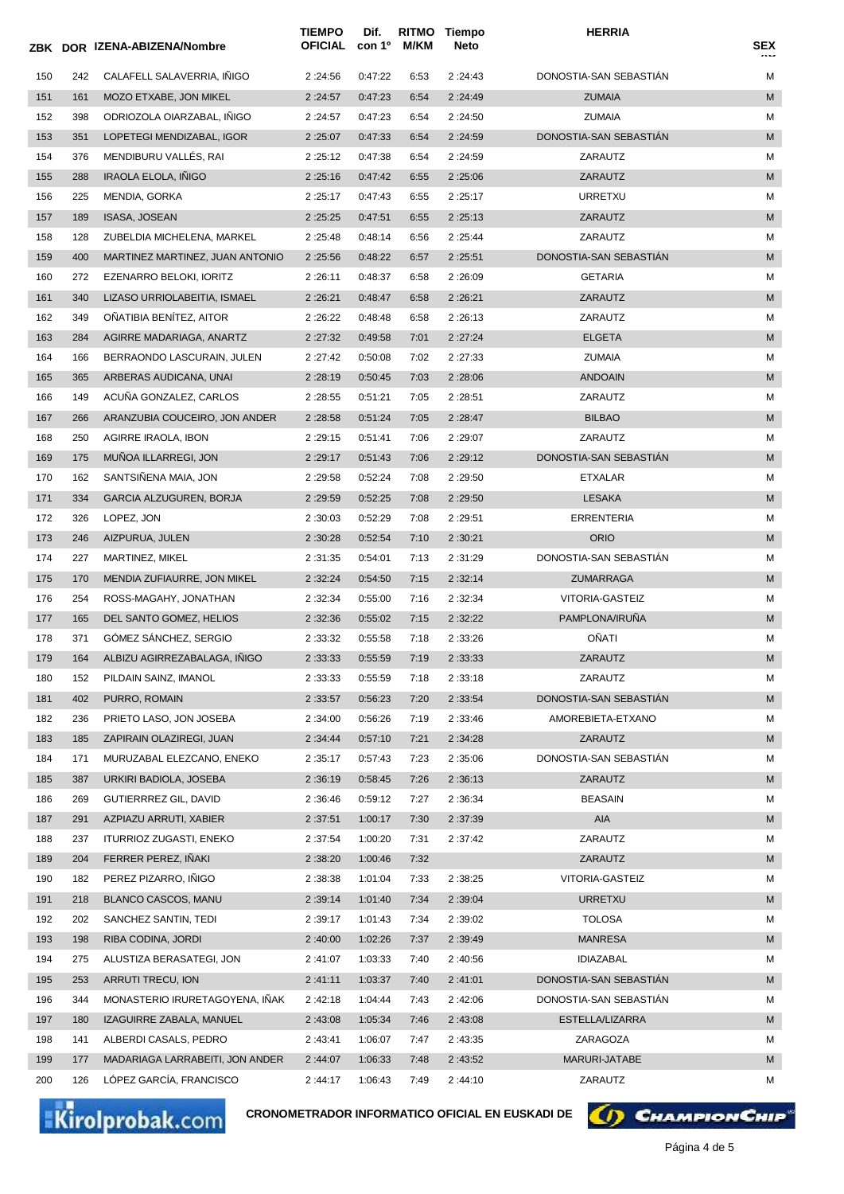|            |            | ZBK DOR IZENA-ABIZENA/Nombre    | <b>TIEMPO</b><br>OFICIAL | Dif.<br>con 1º     | RITMO<br>M/KM | <b>Tiempo</b><br>Neto | <b>HERRIA</b>          | <b>SEX</b> |
|------------|------------|---------------------------------|--------------------------|--------------------|---------------|-----------------------|------------------------|------------|
| 150        | 242        | CALAFELL SALAVERRIA, IÑIGO      | 2:24:56                  | 0:47:22            | 6:53          | 2:24:43               | DONOSTIA-SAN SEBASTIÁN | М          |
| 151        | 161        | MOZO ETXABE, JON MIKEL          | 2:24:57                  | 0:47:23            | 6:54          | 2:24:49               | <b>ZUMAIA</b>          | M          |
| 152        | 398        | ODRIOZOLA OIARZABAL, IÑIGO      | 2:24:57                  | 0:47:23            | 6:54          | 2:24:50               | <b>ZUMAIA</b>          | М          |
| 153        | 351        | LOPETEGI MENDIZABAL, IGOR       | 2:25:07                  | 0:47:33            | 6:54          | 2:24:59               | DONOSTIA-SAN SEBASTIAN | M          |
| 154        | 376        | MENDIBURU VALLÉS, RAI           | 2:25:12                  | 0:47:38            | 6:54          | 2:24:59               | ZARAUTZ                | М          |
| 155        | 288        | <b>IRAOLA ELOLA, INIGO</b>      | 2:25:16                  | 0:47:42            | 6:55          | 2:25:06               | ZARAUTZ                | M          |
| 156        | 225        | MENDIA, GORKA                   | 2:25:17                  | 0:47:43            | 6:55          | 2:25:17               | URRETXU                | М          |
| 157        | 189        | ISASA, JOSEAN                   | 2:25:25                  | 0:47:51            | 6:55          | 2:25:13               | ZARAUTZ                | M          |
| 158        | 128        | ZUBELDIA MICHELENA, MARKEL      | 2:25:48                  | 0:48:14            | 6:56          | 2:25:44               | ZARAUTZ                | М          |
| 159        | 400        | MARTINEZ MARTINEZ, JUAN ANTONIO | 2:25:56                  | 0:48:22            | 6:57          | 2:25:51               | DONOSTIA-SAN SEBASTIAN | M          |
| 160        | 272        | EZENARRO BELOKI, IORITZ         | 2:26:11                  | 0:48:37            | 6:58          | 2:26:09               | <b>GETARIA</b>         | М          |
| 161        | 340        | LIZASO URRIOLABEITIA, ISMAEL    | 2:26:21                  | 0:48:47            | 6:58          | 2:26:21               | ZARAUTZ                | M          |
| 162        | 349        | OÑATIBIA BENÍTEZ, AITOR         | 2:26:22                  | 0:48:48            | 6:58          | 2:26:13               | ZARAUTZ                | М          |
| 163        | 284        | AGIRRE MADARIAGA, ANARTZ        | 2:27:32                  | 0:49:58            | 7:01          | 2:27:24               | <b>ELGETA</b>          | M          |
| 164        | 166        | BERRAONDO LASCURAIN, JULEN      | 2:27:42                  | 0:50:08            | 7:02          | 2:27:33               | <b>ZUMAIA</b>          | М          |
| 165        | 365        | ARBERAS AUDICANA, UNAI          | 2:28:19                  | 0:50:45            | 7:03          | 2:28:06               | <b>ANDOAIN</b>         | M          |
| 166        | 149        | ACUÑA GONZALEZ, CARLOS          | 2:28:55                  | 0:51:21            | 7:05          | 2:28:51               | ZARAUTZ                | М          |
| 167        | 266        | ARANZUBIA COUCEIRO, JON ANDER   | 2:28:58                  | 0:51:24            | 7:05          | 2:28:47               | <b>BILBAO</b>          | M          |
| 168        | 250        | AGIRRE IRAOLA, IBON             | 2:29:15                  | 0:51:41            | 7:06          | 2:29:07               | ZARAUTZ                | М          |
| 169        | 175        | MUÑOA ILLARREGI, JON            | 2:29:17                  | 0:51:43            | 7:06          | 2:29:12               | DONOSTIA-SAN SEBASTIAN | M          |
| 170        | 162        | SANTSIÑENA MAIA, JON            | 2:29:58                  | 0:52:24            | 7:08          | 2:29:50               | ETXALAR                | М          |
| 171        | 334        | GARCIA ALZUGUREN, BORJA         | 2:29:59                  | 0:52:25            | 7:08          | 2:29:50               | <b>LESAKA</b>          | M          |
| 172        | 326        | LOPEZ, JON                      | 2:30:03                  | 0:52:29            | 7:08          | 2:29:51               | <b>ERRENTERIA</b>      | М          |
| 173        | 246        | AIZPURUA, JULEN                 | 2:30:28                  | 0:52:54            | 7:10          | 2:30:21               | <b>ORIO</b>            | M          |
| 174        | 227        | MARTINEZ, MIKEL                 | 2:31:35                  | 0:54:01            | 7:13          | 2:31:29               | DONOSTIA-SAN SEBASTIAN | М          |
| 175        | 170        | MENDIA ZUFIAURRE, JON MIKEL     | 2:32:24                  | 0:54:50            | 7:15          | 2:32:14               | ZUMARRAGA              | M          |
| 176        | 254        | ROSS-MAGAHY, JONATHAN           | 2:32:34                  | 0:55:00            | 7:16          | 2:32:34               | VITORIA-GASTEIZ        | М          |
| 177        | 165        | DEL SANTO GOMEZ, HELIOS         | 2:32:36                  | 0:55:02            | 7:15          | 2:32:22               | PAMPLONA/IRUNA         | M          |
| 178        | 371        | GÓMEZ SÁNCHEZ, SERGIO           | 2:33:32                  | 0:55:58            | 7:18          | 2:33:26               | OÑATI                  | М          |
| 179        | 164        | ALBIZU AGIRREZABALAGA, INIGO    | 2:33:33                  | 0:55:59            | 7:19          | 2:33:33               | ZARAUTZ                | M          |
| 180        | 152        | PILDAIN SAINZ, IMANOL           | 2:33:33                  | 0:55:59            | 7:18          | 2:33:18               | ZARAUTZ                | М          |
|            | 402        | PURRO, ROMAIN                   |                          |                    |               |                       | DONOSTIA-SAN SEBASTIAN | M          |
| 181        | 236        | PRIETO LASO, JON JOSEBA         | 2:33:57<br>2:34:00       | 0:56:23<br>0:56:26 | 7:20<br>7:19  | 2:33:54<br>2:33:46    | AMOREBIETA-ETXANO      | М          |
| 182<br>183 | 185        | ZAPIRAIN OLAZIREGI, JUAN        | 2:34:44                  | 0:57:10            | 7:21          | 2:34:28               | ZARAUTZ                | M          |
|            |            | MURUZABAL ELEZCANO, ENEKO       |                          |                    |               |                       | DONOSTIA-SAN SEBASTIÁN | М          |
| 184<br>185 | 171<br>387 | URKIRI BADIOLA, JOSEBA          | 2:35:17<br>2:36:19       | 0:57:43            | 7:23<br>7:26  | 2:35:06               | ZARAUTZ                | М          |
|            |            | <b>GUTIERRREZ GIL, DAVID</b>    |                          | 0:58:45            |               | 2:36:13               |                        |            |
| 186        | 269        |                                 | 2:36:46                  | 0:59:12            | 7:27          | 2:36:34               | <b>BEASAIN</b>         | М<br>M     |
| 187        | 291        | AZPIAZU ARRUTI, XABIER          | 2:37:51                  | 1:00:17            | 7:30          | 2:37:39               | AIA                    |            |
| 188        | 237        | ITURRIOZ ZUGASTI, ENEKO         | 2:37:54                  | 1:00:20            | 7:31          | 2:37:42               | ZARAUTZ                | М          |
| 189        | 204        | FERRER PEREZ, IÑAKI             | 2:38:20                  | 1:00:46            | 7:32          |                       | ZARAUTZ                | M          |
| 190        | 182        | PEREZ PIZARRO, IÑIGO            | 2:38:38                  | 1:01:04            | 7:33          | 2:38:25               | VITORIA-GASTEIZ        | М          |
| 191        | 218        | BLANCO CASCOS, MANU             | 2:39:14                  | 1:01:40            | 7:34          | 2:39:04               | URRETXU                | M          |
| 192        | 202        | SANCHEZ SANTIN, TEDI            | 2:39:17                  | 1:01:43            | 7:34          | 2:39:02               | <b>TOLOSA</b>          | М          |
| 193        | 198        | RIBA CODINA, JORDI              | 2:40:00                  | 1:02:26            | 7:37          | 2:39:49               | <b>MANRESA</b>         | M          |
| 194        | 275        | ALUSTIZA BERASATEGI, JON        | 2:41:07                  | 1:03:33            | 7:40          | 2:40:56               | <b>IDIAZABAL</b>       | М          |
| 195        | 253        | ARRUTI TRECU, ION               | 2:41:11                  | 1:03:37            | 7:40          | 2:41:01               | DONOSTIA-SAN SEBASTIAN | M          |
| 196        | 344        | MONASTERIO IRURETAGOYENA, INAK  | 2:42:18                  | 1:04:44            | 7:43          | 2:42:06               | DONOSTIA-SAN SEBASTIÁN | М          |
| 197        | 180        | IZAGUIRRE ZABALA, MANUEL        | 2:43:08                  | 1:05:34            | 7:46          | 2:43:08               | ESTELLA/LIZARRA        | M          |
| 198        | 141        | ALBERDI CASALS, PEDRO           | 2:43:41                  | 1:06:07            | 7:47          | 2:43:35               | ZARAGOZA               | М          |
| 199        | 177        | MADARIAGA LARRABEITI, JON ANDER | 2:44:07                  | 1:06:33            | 7:48          | 2:43:52               | MARURI-JATABE          | М          |
| 200        | 126        | LÓPEZ GARCÍA, FRANCISCO         | 2:44:17                  | 1:06:43            | 7:49          | 2:44:10               | ZARAUTZ                | М          |

Kirolprobak.com

**CRONOMETRADOR INFORMATICO OFICIAL EN EUSKADI DE**

(D) CHAMPION CHIP®